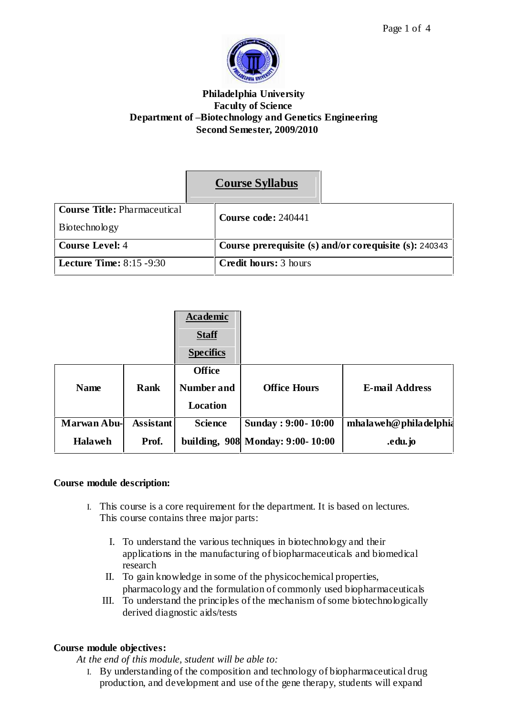

## **Philadelphia University Faculty of Science Department of ñBiotechnology and Genetics Engineering Second Semester, 2009/2010**

| <b>Course Syllabus</b> |
|------------------------|
|------------------------|

| <b>Course Title: Pharmaceutical</b> | Course code: 240441                                    |
|-------------------------------------|--------------------------------------------------------|
| Biotechnology                       |                                                        |
| <b>Course Level: 4</b>              | Course prerequisite (s) and/or corequisite (s): 240343 |
| Lecture Time: $8:15 - 9:30$         | <b>Credit hours:</b> 3 hours                           |

|                    |                  | <b>Academic</b><br><b>Staff</b><br><b>Specifics</b> |                                  |                          |
|--------------------|------------------|-----------------------------------------------------|----------------------------------|--------------------------|
| <b>Name</b>        | <b>Rank</b>      | <b>Office</b><br>Number and                         | <b>Office Hours</b>              | <b>E-mail Address</b>    |
|                    |                  | <b>Location</b>                                     |                                  |                          |
| <b>Marwan Abu-</b> | <b>Assistant</b> | <b>Science</b>                                      | <b>Sunday: 9:00-10:00</b>        | mha la weh@phila delphia |
| <b>Halaweh</b>     | Prof.            |                                                     | building, 908 Monday: 9:00-10:00 | .edu.jo                  |

# **Course module description:**

- I. This course is a core requirement for the department. It is based on lectures. This course contains three major parts:
	- I. To understand the various techniques in biotechnology and their applications in the manufacturing of biopharmaceuticals and biomedical research
	- II. To gain knowledge in some of the physicochemical properties, pharmacology and the formulation of commonly used biopharmaceuticals
	- III. To understand the principles of the mechanism of some biotechnologically derived diagnostic aids/tests

# **Course module objectives:**

*At the end of this module, student will be able to:*

I. By understanding of the composition and technology of biopharmaceutical drug production, and development and use of the gene therapy, students will expand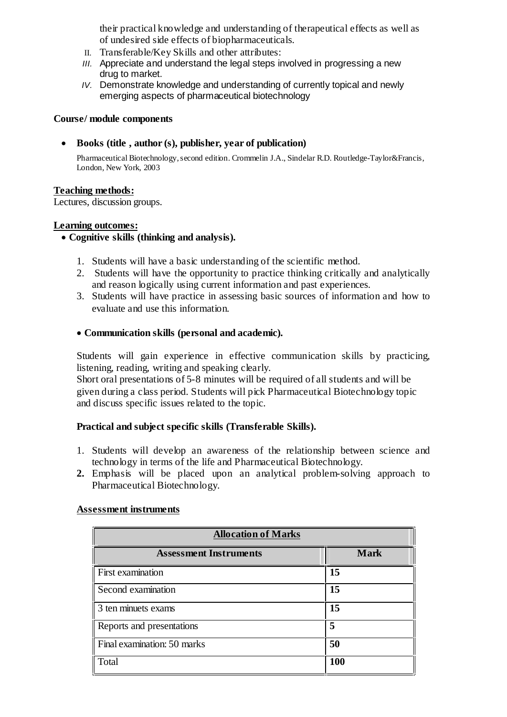their practical knowledge and understanding of therapeutical effects as well as of undesired side effects of biopharmaceuticals.

- II. Transferable/Key Skills and other attributes:
- III. Appreciate and understand the legal steps involved in progressing a new drug to market.
- IV. Demonstrate knowledge and understanding of currently topical and newly emerging aspects of pharmaceutical biotechnology

### **Course/ module components**

**Books (title , author (s), publisher, year of publication)**

Pharmaceutical Biotechnology,second edition. Crommelin J.A., Sindelar R.D. Routledge-Taylor&Francis, London, New York, 2003

## **Teaching methods:**

Lectures, discussion groups.

### **Learning outcomes:**

## **Cognitive skills (thinking and analysis).**

- 1. Students will have a basic understanding of the scientific method.
- 2. Students will have the opportunity to practice thinking critically and analytically and reason logically using current information and past experiences.
- 3. Students will have practice in assessing basic sources of information and how to evaluate and use this information.

### **Communication skills (personal and academic).**

Students will gain experience in effective communication skills by practicing, listening, reading, writing and speaking clearly.

Short oral presentations of 5-8 minutes will be required of all students and will be given during a class period. Students will pick Pharmaceutical Biotechnology topic and discuss specific issues related to the topic.

## **Practical and subject specific skills (Transferable Skills).**

- 1. Students will develop an awareness of the relationship between science and technology in terms of the life and Pharmaceutical Biotechnology.
- **2.** Emphasis will be placed upon an analytical problem-solving approach to Pharmaceutical Biotechnology.

#### **Assessment instruments**

| <b>Allocation of Marks</b>    |             |  |  |  |
|-------------------------------|-------------|--|--|--|
| <b>Assessment Instruments</b> | <b>Mark</b> |  |  |  |
| <b>First examination</b>      | 15          |  |  |  |
| Second examination            | 15          |  |  |  |
| 3 ten minuets exams           | 15          |  |  |  |
| Reports and presentations     | 5           |  |  |  |
| Final examination: 50 marks   | 50          |  |  |  |
| Total                         | <b>100</b>  |  |  |  |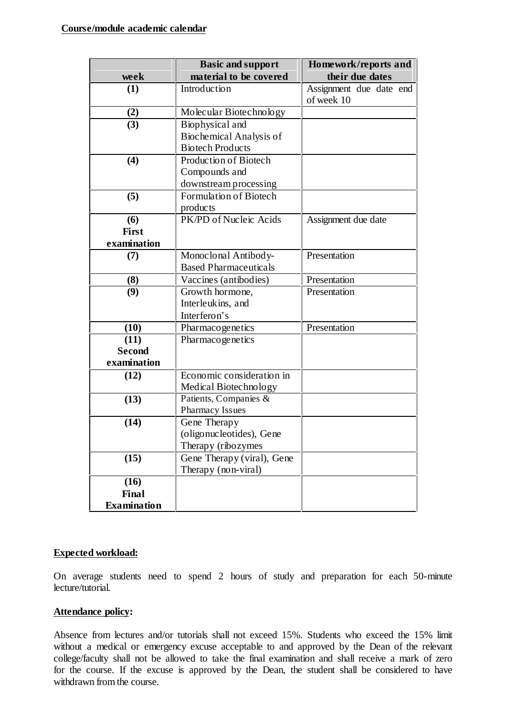|                    | <b>Basic and support</b>     | Homework/reports and    |
|--------------------|------------------------------|-------------------------|
| week               | material to be covered       | their due dates         |
| (1)                | Introduction                 | Assignment due date end |
|                    |                              | of week 10              |
| (2)                | Molecular Biotechnology      |                         |
| (3)                | Biophysical and              |                         |
|                    | Biochemical Analysis of      |                         |
|                    | <b>Biotech Products</b>      |                         |
| (4)                | Production of Biotech        |                         |
|                    | Compounds and                |                         |
|                    | downstream processing        |                         |
| (5)                | Formulation of Biotech       |                         |
|                    | products                     |                         |
| (6)                | PK/PD of Nucleic Acids       | Assignment due date     |
| First              |                              |                         |
| examination        |                              |                         |
| (7)                | Monoclonal Antibody-         | Presentation            |
|                    | <b>Based Pharmaceuticals</b> |                         |
| (8)                | Vaccines (antibodies)        | Presentation            |
| (9)                | Growth hormone,              | Presentation            |
|                    | Interleukins, and            |                         |
|                    | Interferon's                 |                         |
| (10)               | Pharmacogenetics             | Presentation            |
| (11)               | Pharmacogenetics             |                         |
| <b>Second</b>      |                              |                         |
| examination        |                              |                         |
| (12)               | Economic consideration in    |                         |
|                    | Medical Biotechnology        |                         |
| (13)               | Patients, Companies &        |                         |
|                    | Pharmacy Issues              |                         |
| (14)               | Gene Therapy                 |                         |
|                    | (oligonucleotides), Gene     |                         |
|                    | Therapy (ribozymes           |                         |
| (15)               | Gene Therapy (viral), Gene   |                         |
|                    | Therapy (non-viral)          |                         |
| (16)               |                              |                         |
| Final              |                              |                         |
| <b>Examination</b> |                              |                         |

#### **Expected workload:**

On average students need to spend 2 hours of study and preparation for each 50-minute lecture/tutorial.

#### **Attendance policy:**

Absence from lectures and/or tutorials shall not exceed 15%. Students who exceed the 15% limit without a medical or emergency excuse acceptable to and approved by the Dean of the relevant college/faculty shall not be allowed to take the final examination and shall receive a mark of zero for the course. If the excuse is approved by the Dean, the student shall be considered to have withdrawn from the course.